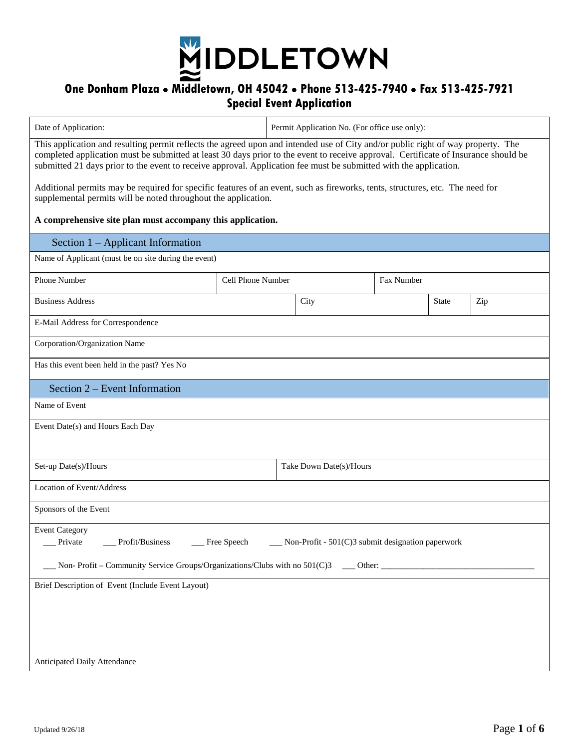

## **One Donham Plaza Middletown, OH 45042 Phone 513-425-7940 Fax 513-425-7921 Special Event Application**

| Date of Application:                                                                                                                                                                                                                                                                                                                                                                         | Permit Application No. (For office use only): |                         |            |              |     |  |
|----------------------------------------------------------------------------------------------------------------------------------------------------------------------------------------------------------------------------------------------------------------------------------------------------------------------------------------------------------------------------------------------|-----------------------------------------------|-------------------------|------------|--------------|-----|--|
| This application and resulting permit reflects the agreed upon and intended use of City and/or public right of way property. The<br>completed application must be submitted at least 30 days prior to the event to receive approval. Certificate of Insurance should be<br>submitted 21 days prior to the event to receive approval. Application fee must be submitted with the application. |                                               |                         |            |              |     |  |
| Additional permits may be required for specific features of an event, such as fireworks, tents, structures, etc. The need for<br>supplemental permits will be noted throughout the application.                                                                                                                                                                                              |                                               |                         |            |              |     |  |
| A comprehensive site plan must accompany this application.                                                                                                                                                                                                                                                                                                                                   |                                               |                         |            |              |     |  |
| Section 1 – Applicant Information                                                                                                                                                                                                                                                                                                                                                            |                                               |                         |            |              |     |  |
| Name of Applicant (must be on site during the event)                                                                                                                                                                                                                                                                                                                                         |                                               |                         |            |              |     |  |
| Phone Number                                                                                                                                                                                                                                                                                                                                                                                 | Cell Phone Number                             |                         | Fax Number |              |     |  |
| <b>Business Address</b>                                                                                                                                                                                                                                                                                                                                                                      |                                               | City                    |            | <b>State</b> | Zip |  |
| E-Mail Address for Correspondence                                                                                                                                                                                                                                                                                                                                                            |                                               |                         |            |              |     |  |
| Corporation/Organization Name                                                                                                                                                                                                                                                                                                                                                                |                                               |                         |            |              |     |  |
| Has this event been held in the past? Yes No                                                                                                                                                                                                                                                                                                                                                 |                                               |                         |            |              |     |  |
| Section 2 – Event Information                                                                                                                                                                                                                                                                                                                                                                |                                               |                         |            |              |     |  |
| Name of Event                                                                                                                                                                                                                                                                                                                                                                                |                                               |                         |            |              |     |  |
| Event Date(s) and Hours Each Day                                                                                                                                                                                                                                                                                                                                                             |                                               |                         |            |              |     |  |
| Set-up Date(s)/Hours                                                                                                                                                                                                                                                                                                                                                                         |                                               | Take Down Date(s)/Hours |            |              |     |  |
| Location of Event/Address                                                                                                                                                                                                                                                                                                                                                                    |                                               |                         |            |              |     |  |
| Sponsors of the Event                                                                                                                                                                                                                                                                                                                                                                        |                                               |                         |            |              |     |  |
| <b>Event Category</b><br>Free Speech<br>Private<br>Profit/Business<br>Non-Profit - 501(C)3 submit designation paperwork                                                                                                                                                                                                                                                                      |                                               |                         |            |              |     |  |
| Brief Description of Event (Include Event Layout)                                                                                                                                                                                                                                                                                                                                            |                                               |                         |            |              |     |  |
|                                                                                                                                                                                                                                                                                                                                                                                              |                                               |                         |            |              |     |  |
|                                                                                                                                                                                                                                                                                                                                                                                              |                                               |                         |            |              |     |  |
|                                                                                                                                                                                                                                                                                                                                                                                              |                                               |                         |            |              |     |  |
| Anticipated Daily Attendance                                                                                                                                                                                                                                                                                                                                                                 |                                               |                         |            |              |     |  |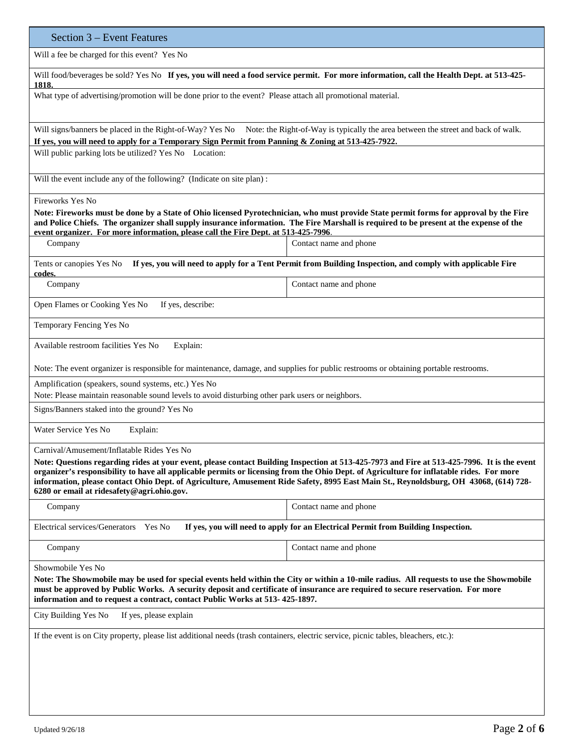| Section 3 – Event Features                                                                                                                                                                                                                                                                                                                                                     |                                                                                                            |  |  |  |
|--------------------------------------------------------------------------------------------------------------------------------------------------------------------------------------------------------------------------------------------------------------------------------------------------------------------------------------------------------------------------------|------------------------------------------------------------------------------------------------------------|--|--|--|
| Will a fee be charged for this event? Yes No                                                                                                                                                                                                                                                                                                                                   |                                                                                                            |  |  |  |
| Will food/beverages be sold? Yes No If yes, you will need a food service permit. For more information, call the Health Dept. at 513-425-<br>1818.                                                                                                                                                                                                                              |                                                                                                            |  |  |  |
| What type of advertising/promotion will be done prior to the event? Please attach all promotional material.                                                                                                                                                                                                                                                                    |                                                                                                            |  |  |  |
| Will signs/banners be placed in the Right-of-Way? Yes No Note: the Right-of-Way is typically the area between the street and back of walk.<br>If yes, you will need to apply for a Temporary Sign Permit from Panning & Zoning at 513-425-7922.                                                                                                                                |                                                                                                            |  |  |  |
| Will public parking lots be utilized? Yes No Location:                                                                                                                                                                                                                                                                                                                         |                                                                                                            |  |  |  |
| Will the event include any of the following? (Indicate on site plan):                                                                                                                                                                                                                                                                                                          |                                                                                                            |  |  |  |
| Fireworks Yes No                                                                                                                                                                                                                                                                                                                                                               |                                                                                                            |  |  |  |
| Note: Fireworks must be done by a State of Ohio licensed Pyrotechnician, who must provide State permit forms for approval by the Fire<br>and Police Chiefs. The organizer shall supply insurance information. The Fire Marshall is required to be present at the expense of the<br>event organizer. For more information, please call the Fire Dept. at 513-425-7996.          |                                                                                                            |  |  |  |
| Company                                                                                                                                                                                                                                                                                                                                                                        | Contact name and phone                                                                                     |  |  |  |
| Tents or canopies Yes No                                                                                                                                                                                                                                                                                                                                                       | If yes, you will need to apply for a Tent Permit from Building Inspection, and comply with applicable Fire |  |  |  |
| codes.<br>Company                                                                                                                                                                                                                                                                                                                                                              | Contact name and phone                                                                                     |  |  |  |
| If yes, describe:<br>Open Flames or Cooking Yes No                                                                                                                                                                                                                                                                                                                             |                                                                                                            |  |  |  |
| Temporary Fencing Yes No                                                                                                                                                                                                                                                                                                                                                       |                                                                                                            |  |  |  |
| Available restroom facilities Yes No<br>Explain:                                                                                                                                                                                                                                                                                                                               |                                                                                                            |  |  |  |
| Note: The event organizer is responsible for maintenance, damage, and supplies for public restrooms or obtaining portable restrooms.                                                                                                                                                                                                                                           |                                                                                                            |  |  |  |
| Amplification (speakers, sound systems, etc.) Yes No<br>Note: Please maintain reasonable sound levels to avoid disturbing other park users or neighbors.                                                                                                                                                                                                                       |                                                                                                            |  |  |  |
| Signs/Banners staked into the ground? Yes No                                                                                                                                                                                                                                                                                                                                   |                                                                                                            |  |  |  |
| Water Service Yes No<br>Explain:                                                                                                                                                                                                                                                                                                                                               |                                                                                                            |  |  |  |
| Carnival/Amusement/Inflatable Rides Yes No                                                                                                                                                                                                                                                                                                                                     |                                                                                                            |  |  |  |
| Note: Questions regarding rides at your event, please contact Building Inspection at 513-425-7973 and Fire at 513-425-7996. It is the event<br>organizer's responsibility to have all applicable permits or licensing from the Ohio Dept. of Agriculture for inflatable rides. For more                                                                                        |                                                                                                            |  |  |  |
| information, please contact Ohio Dept. of Agriculture, Amusement Ride Safety, 8995 East Main St., Reynoldsburg, OH 43068, (614) 728-<br>6280 or email at ridesafety@agri.ohio.gov.                                                                                                                                                                                             |                                                                                                            |  |  |  |
| Company                                                                                                                                                                                                                                                                                                                                                                        | Contact name and phone                                                                                     |  |  |  |
| Electrical services/Generators<br><b>Yes No</b>                                                                                                                                                                                                                                                                                                                                | If yes, you will need to apply for an Electrical Permit from Building Inspection.                          |  |  |  |
| Company                                                                                                                                                                                                                                                                                                                                                                        | Contact name and phone                                                                                     |  |  |  |
| Showmobile Yes No<br>Note: The Showmobile may be used for special events held within the City or within a 10-mile radius. All requests to use the Showmobile<br>must be approved by Public Works. A security deposit and certificate of insurance are required to secure reservation. For more<br>information and to request a contract, contact Public Works at 513-425-1897. |                                                                                                            |  |  |  |
| City Building Yes No<br>If yes, please explain                                                                                                                                                                                                                                                                                                                                 |                                                                                                            |  |  |  |
| If the event is on City property, please list additional needs (trash containers, electric service, picnic tables, bleachers, etc.):                                                                                                                                                                                                                                           |                                                                                                            |  |  |  |
|                                                                                                                                                                                                                                                                                                                                                                                |                                                                                                            |  |  |  |
|                                                                                                                                                                                                                                                                                                                                                                                |                                                                                                            |  |  |  |
|                                                                                                                                                                                                                                                                                                                                                                                |                                                                                                            |  |  |  |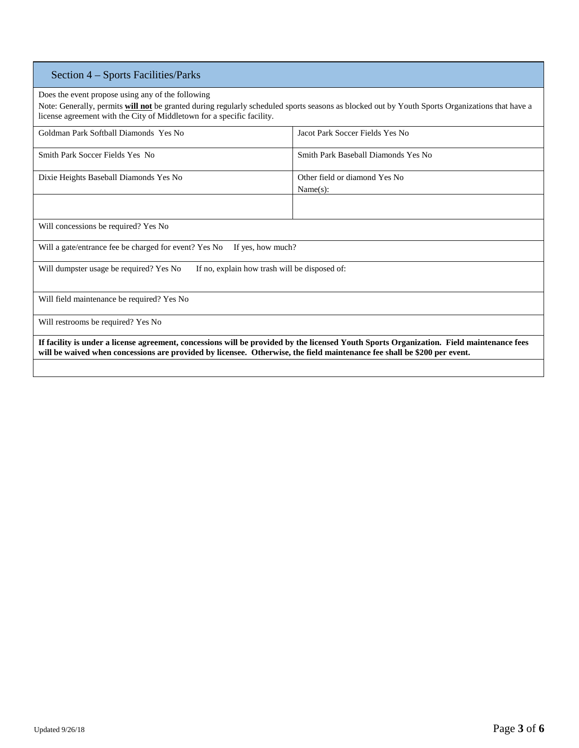## Section 4 – Sports Facilities/Parks

Does the event propose using any of the following

Note: Generally, permits **will not** be granted during regularly scheduled sports seasons as blocked out by Youth Sports Organizations that have a license agreement with the City of Middletown for a specific facility.

| Goldman Park Softball Diamonds Yes No                                                                                                                                                                                                                                | Jacot Park Soccer Fields Yes No           |  |
|----------------------------------------------------------------------------------------------------------------------------------------------------------------------------------------------------------------------------------------------------------------------|-------------------------------------------|--|
| Smith Park Soccer Fields Yes No                                                                                                                                                                                                                                      | Smith Park Baseball Diamonds Yes No       |  |
| Dixie Heights Baseball Diamonds Yes No                                                                                                                                                                                                                               | Other field or diamond Yes No<br>Name(s): |  |
|                                                                                                                                                                                                                                                                      |                                           |  |
| Will concessions be required? Yes No                                                                                                                                                                                                                                 |                                           |  |
| Will a gate/entrance fee be charged for event? Yes No<br>If yes, how much?                                                                                                                                                                                           |                                           |  |
| Will dumpster usage be required? Yes No<br>If no, explain how trash will be disposed of:                                                                                                                                                                             |                                           |  |
| Will field maintenance be required? Yes No                                                                                                                                                                                                                           |                                           |  |
| Will restrooms be required? Yes No                                                                                                                                                                                                                                   |                                           |  |
| If facility is under a license agreement, concessions will be provided by the licensed Youth Sports Organization. Field maintenance fees<br>will be waived when concessions are provided by licensee. Otherwise, the field maintenance fee shall be \$200 per event. |                                           |  |
|                                                                                                                                                                                                                                                                      |                                           |  |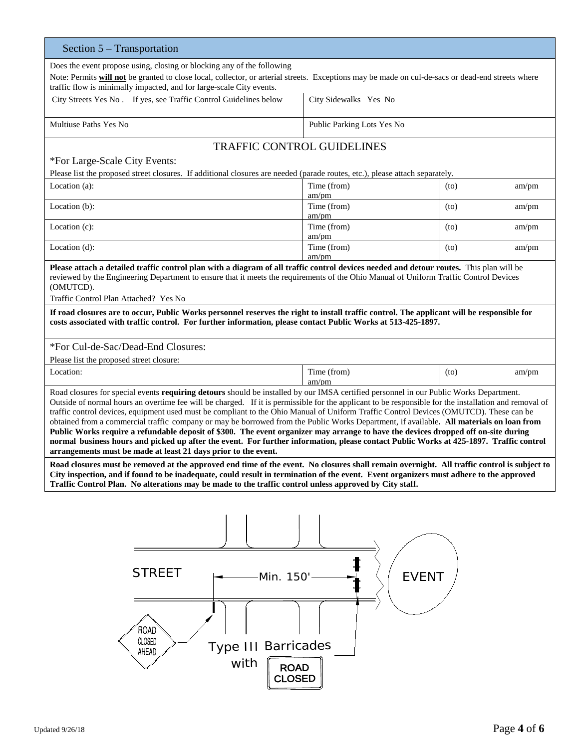| Section 5 – Transportation                                                                                                                                                                                                                                                                                                                                                                                                                                                                                                                                                                                                                                                                                                                                                                                                                                                                                                              |                               |               |  |  |
|-----------------------------------------------------------------------------------------------------------------------------------------------------------------------------------------------------------------------------------------------------------------------------------------------------------------------------------------------------------------------------------------------------------------------------------------------------------------------------------------------------------------------------------------------------------------------------------------------------------------------------------------------------------------------------------------------------------------------------------------------------------------------------------------------------------------------------------------------------------------------------------------------------------------------------------------|-------------------------------|---------------|--|--|
| Does the event propose using, closing or blocking any of the following<br>Note: Permits will not be granted to close local, collector, or arterial streets. Exceptions may be made on cul-de-sacs or dead-end streets where<br>traffic flow is minimally impacted, and for large-scale City events.                                                                                                                                                                                                                                                                                                                                                                                                                                                                                                                                                                                                                                     |                               |               |  |  |
| City Streets Yes No. If yes, see Traffic Control Guidelines below                                                                                                                                                                                                                                                                                                                                                                                                                                                                                                                                                                                                                                                                                                                                                                                                                                                                       | City Sidewalks Yes No         |               |  |  |
| Multiuse Paths Yes No                                                                                                                                                                                                                                                                                                                                                                                                                                                                                                                                                                                                                                                                                                                                                                                                                                                                                                                   | Public Parking Lots Yes No    |               |  |  |
| <b>TRAFFIC CONTROL GUIDELINES</b><br>*For Large-Scale City Events:<br>Please list the proposed street closures. If additional closures are needed (parade routes, etc.), please attach separately.                                                                                                                                                                                                                                                                                                                                                                                                                                                                                                                                                                                                                                                                                                                                      |                               |               |  |  |
| Location $(a)$ :                                                                                                                                                                                                                                                                                                                                                                                                                                                                                                                                                                                                                                                                                                                                                                                                                                                                                                                        | Time (from)                   | am/pm<br>(to) |  |  |
| Location (b):                                                                                                                                                                                                                                                                                                                                                                                                                                                                                                                                                                                                                                                                                                                                                                                                                                                                                                                           | am/pm<br>Time (from)          | (to)<br>am/pm |  |  |
| Location $(c)$ :                                                                                                                                                                                                                                                                                                                                                                                                                                                                                                                                                                                                                                                                                                                                                                                                                                                                                                                        | am/pm<br>Time (from)<br>am/pm | (to)<br>am/pm |  |  |
| Location $(d)$ :                                                                                                                                                                                                                                                                                                                                                                                                                                                                                                                                                                                                                                                                                                                                                                                                                                                                                                                        | Time (from)<br>am/pm          | (to)<br>am/pm |  |  |
| Please attach a detailed traffic control plan with a diagram of all traffic control devices needed and detour routes. This plan will be<br>reviewed by the Engineering Department to ensure that it meets the requirements of the Ohio Manual of Uniform Traffic Control Devices<br>(OMUTCD).<br>Traffic Control Plan Attached? Yes No                                                                                                                                                                                                                                                                                                                                                                                                                                                                                                                                                                                                  |                               |               |  |  |
| If road closures are to occur, Public Works personnel reserves the right to install traffic control. The applicant will be responsible for<br>costs associated with traffic control. For further information, please contact Public Works at 513-425-1897.                                                                                                                                                                                                                                                                                                                                                                                                                                                                                                                                                                                                                                                                              |                               |               |  |  |
| *For Cul-de-Sac/Dead-End Closures:                                                                                                                                                                                                                                                                                                                                                                                                                                                                                                                                                                                                                                                                                                                                                                                                                                                                                                      |                               |               |  |  |
| Please list the proposed street closure:                                                                                                                                                                                                                                                                                                                                                                                                                                                                                                                                                                                                                                                                                                                                                                                                                                                                                                |                               |               |  |  |
| Location:                                                                                                                                                                                                                                                                                                                                                                                                                                                                                                                                                                                                                                                                                                                                                                                                                                                                                                                               | Time (from)<br>am/m           | (to)<br>am/pm |  |  |
| Road closures for special events requiring detours should be installed by our IMSA certified personnel in our Public Works Department.<br>Outside of normal hours an overtime fee will be charged. If it is permissible for the applicant to be responsible for the installation and removal of<br>traffic control devices, equipment used must be compliant to the Ohio Manual of Uniform Traffic Control Devices (OMUTCD). These can be<br>obtained from a commercial traffic company or may be borrowed from the Public Works Department, if available. All materials on loan from<br>Public Works require a refundable deposit of \$300. The event organizer may arrange to have the devices dropped off on-site during<br>normal business hours and picked up after the event. For further information, please contact Public Works at 425-1897. Traffic control<br>arrangements must be made at least 21 days prior to the event. |                               |               |  |  |
| Road closures must be removed at the approved end time of the event. No closures shall remain overnight. All traffic control is subject to<br>City inspection, and if found to be inadequate, could result in termination of the event. Event organizers must adhere to the approved<br>Traffic Control Plan. No alterations may be made to the traffic control unless approved by City staff.                                                                                                                                                                                                                                                                                                                                                                                                                                                                                                                                          |                               |               |  |  |
| <b>STREET</b><br><b>EVENT</b><br>Min. 150'<br><b>ROAD</b><br><b>CLOSED</b><br><b>Type III Barricades</b><br>AHEAD<br>with<br><b>ROAD</b><br><b>CLOSED</b>                                                                                                                                                                                                                                                                                                                                                                                                                                                                                                                                                                                                                                                                                                                                                                               |                               |               |  |  |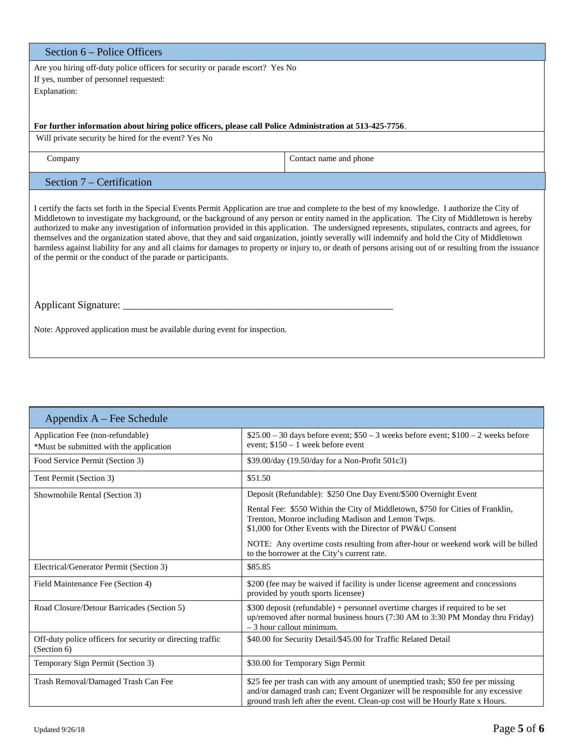| Section 6 – Police Officers                                                                                                                                                                                                                                                                                                                                                                                                                                                                                                                                                                                                                                                                                                                                                                                                              |                        |  |
|------------------------------------------------------------------------------------------------------------------------------------------------------------------------------------------------------------------------------------------------------------------------------------------------------------------------------------------------------------------------------------------------------------------------------------------------------------------------------------------------------------------------------------------------------------------------------------------------------------------------------------------------------------------------------------------------------------------------------------------------------------------------------------------------------------------------------------------|------------------------|--|
| Are you hiring off-duty police officers for security or parade escort? Yes No<br>If yes, number of personnel requested:                                                                                                                                                                                                                                                                                                                                                                                                                                                                                                                                                                                                                                                                                                                  |                        |  |
| Explanation:                                                                                                                                                                                                                                                                                                                                                                                                                                                                                                                                                                                                                                                                                                                                                                                                                             |                        |  |
|                                                                                                                                                                                                                                                                                                                                                                                                                                                                                                                                                                                                                                                                                                                                                                                                                                          |                        |  |
| For further information about hiring police officers, please call Police Administration at 513-425-7756.                                                                                                                                                                                                                                                                                                                                                                                                                                                                                                                                                                                                                                                                                                                                 |                        |  |
| Will private security be hired for the event? Yes No                                                                                                                                                                                                                                                                                                                                                                                                                                                                                                                                                                                                                                                                                                                                                                                     |                        |  |
| Company                                                                                                                                                                                                                                                                                                                                                                                                                                                                                                                                                                                                                                                                                                                                                                                                                                  | Contact name and phone |  |
| Section 7 – Certification                                                                                                                                                                                                                                                                                                                                                                                                                                                                                                                                                                                                                                                                                                                                                                                                                |                        |  |
| I certify the facts set forth in the Special Events Permit Application are true and complete to the best of my knowledge. I authorize the City of<br>Middletown to investigate my background, or the background of any person or entity named in the application. The City of Middletown is hereby<br>authorized to make any investigation of information provided in this application. The undersigned represents, stipulates, contracts and agrees, for<br>themselves and the organization stated above, that they and said organization, jointly severally will indemnify and hold the City of Middletown<br>harmless against liability for any and all claims for damages to property or injury to, or death of persons arising out of or resulting from the issuance<br>of the permit or the conduct of the parade or participants. |                        |  |
|                                                                                                                                                                                                                                                                                                                                                                                                                                                                                                                                                                                                                                                                                                                                                                                                                                          |                        |  |
| Note: Approved application must be available during event for inspection.                                                                                                                                                                                                                                                                                                                                                                                                                                                                                                                                                                                                                                                                                                                                                                |                        |  |

| Appendix $A$ – Fee Schedule                                                 |                                                                                                                                                                                                                                                     |
|-----------------------------------------------------------------------------|-----------------------------------------------------------------------------------------------------------------------------------------------------------------------------------------------------------------------------------------------------|
| Application Fee (non-refundable)<br>*Must be submitted with the application | $$25.00 - 30$ days before event; $$50 - 3$ weeks before event; $$100 - 2$ weeks before<br>event; $$150 - 1$ week before event                                                                                                                       |
| Food Service Permit (Section 3)                                             | \$39.00/day (19.50/day for a Non-Profit 501c3)                                                                                                                                                                                                      |
| Tent Permit (Section 3)                                                     | \$51.50                                                                                                                                                                                                                                             |
| Showmobile Rental (Section 3)                                               | Deposit (Refundable): \$250 One Day Event/\$500 Overnight Event                                                                                                                                                                                     |
|                                                                             | Rental Fee: \$550 Within the City of Middletown, \$750 for Cities of Franklin,<br>Trenton, Monroe including Madison and Lemon Twps.<br>\$1,000 for Other Events with the Director of PW&U Consent                                                   |
|                                                                             | NOTE: Any overtime costs resulting from after-hour or weekend work will be billed<br>to the borrower at the City's current rate.                                                                                                                    |
| Electrical/Generator Permit (Section 3)                                     | \$85.85                                                                                                                                                                                                                                             |
| Field Maintenance Fee (Section 4)                                           | \$200 (fee may be waived if facility is under license agreement and concessions<br>provided by youth sports licensee)                                                                                                                               |
| Road Closure/Detour Barricades (Section 5)                                  | \$300 deposit (refundable) + personnel overtime charges if required to be set<br>up/removed after normal business hours (7:30 AM to 3:30 PM Monday thru Friday)<br>$-3$ hour callout minimum.                                                       |
| Off-duty police officers for security or directing traffic<br>(Section 6)   | \$40.00 for Security Detail/\$45.00 for Traffic Related Detail                                                                                                                                                                                      |
| Temporary Sign Permit (Section 3)                                           | \$30.00 for Temporary Sign Permit                                                                                                                                                                                                                   |
| Trash Removal/Damaged Trash Can Fee                                         | \$25 fee per trash can with any amount of unemptied trash; \$50 fee per missing<br>and/or damaged trash can; Event Organizer will be responsible for any excessive<br>ground trash left after the event. Clean-up cost will be Hourly Rate x Hours. |

٦